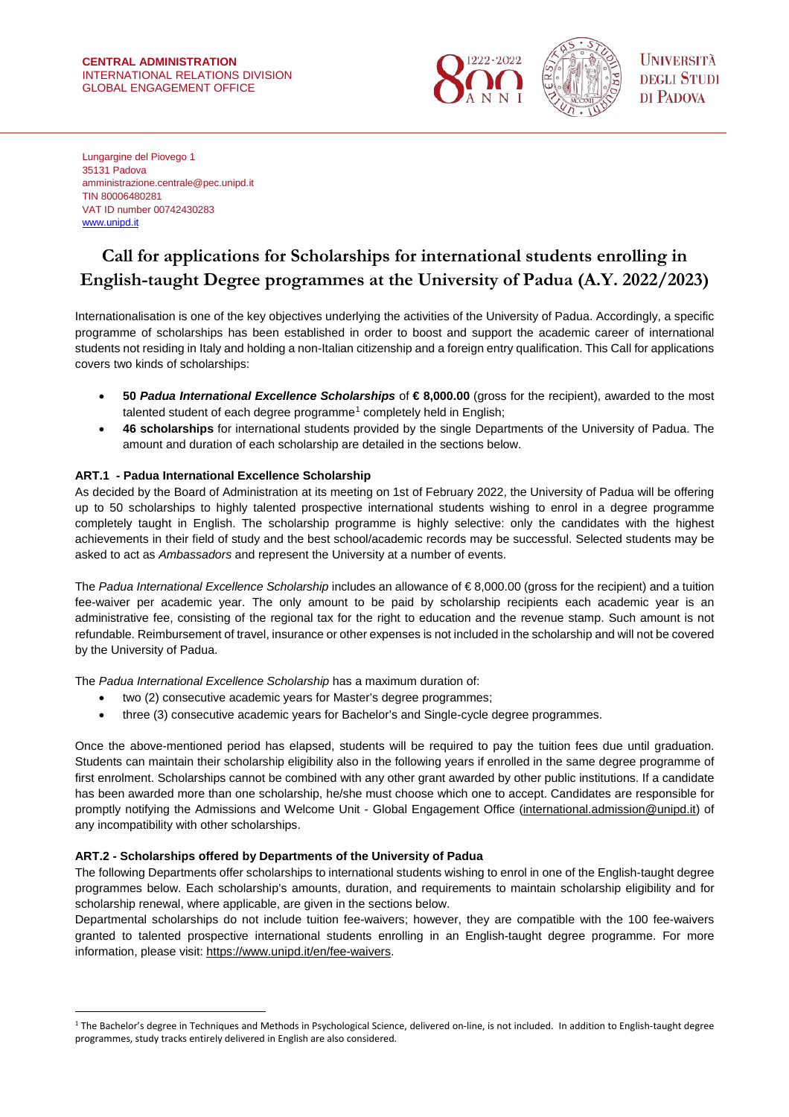#### **CENTRAL ADMINISTRATION** INTERNATIONAL RELATIONS DIVISION GLOBAL ENGAGEMENT OFFICE



Lungargine del Piovego 1 35131 Padova amministrazione.centrale@pec.unipd.it TIN 80006480281 VAT ID number 00742430283 [www.unipd.it](http://www.unipd.it/)

# **Call for applications for Scholarships for international students enrolling in English-taught Degree programmes at the University of Padua (A.Y. 2022/2023)**

Internationalisation is one of the key objectives underlying the activities of the University of Padua. Accordingly, a specific programme of scholarships has been established in order to boost and support the academic career of international students not residing in Italy and holding a non-Italian citizenship and a foreign entry qualification. This Call for applications covers two kinds of scholarships:

- **50** *Padua International Excellence Scholarships* of **€ 8,000.00** (gross for the recipient), awarded to the most talented student of each degree programme<sup>[1](#page-0-0)</sup> completely held in English;
- **46 scholarships** for international students provided by the single Departments of the University of Padua. The amount and duration of each scholarship are detailed in the sections below.

## **ART.1 - Padua International Excellence Scholarship**

As decided by the Board of Administration at its meeting on 1st of February 2022, the University of Padua will be offering up to 50 scholarships to highly talented prospective international students wishing to enrol in a degree programme completely taught in English. The scholarship programme is highly selective: only the candidates with the highest achievements in their field of study and the best school/academic records may be successful. Selected students may be asked to act as *Ambassadors* and represent the University at a number of events.

The *Padua International Excellence Scholarship* includes an allowance of € 8,000.00 (gross for the recipient) and a tuition fee-waiver per academic year. The only amount to be paid by scholarship recipients each academic year is an administrative fee, consisting of the regional tax for the right to education and the revenue stamp. Such amount is not refundable. Reimbursement of travel, insurance or other expenses is not included in the scholarship and will not be covered by the University of Padua.

The *Padua International Excellence Scholarship* has a maximum duration of:

- two (2) consecutive academic years for Master's degree programmes;
- three (3) consecutive academic years for Bachelor's and Single-cycle degree programmes.

Once the above-mentioned period has elapsed, students will be required to pay the tuition fees due until graduation. Students can maintain their scholarship eligibility also in the following years if enrolled in the same degree programme of first enrolment. Scholarships cannot be combined with any other grant awarded by other public institutions. If a candidate has been awarded more than one scholarship, he/she must choose which one to accept. Candidates are responsible for promptly notifying the Admissions and Welcome Unit - Global Engagement Office [\(international.admission@unipd.it\)](mailto:international.admission@unipd.it) of any incompatibility with other scholarships.

## **ART.2 - Scholarships offered by Departments of the University of Padua**

 $\overline{a}$ 

The following Departments offer scholarships to international students wishing to enrol in one of the English-taught degree programmes below. Each scholarship's amounts, duration, and requirements to maintain scholarship eligibility and for scholarship renewal, where applicable, are given in the sections below.

Departmental scholarships do not include tuition fee-waivers; however, they are compatible with the 100 fee-waivers granted to talented prospective international students enrolling in an English-taught degree programme. For more information, please visit[: https://www.unipd.it/en/fee-waivers.](mailto:international.admission@unipd.it)

<span id="page-0-0"></span><sup>&</sup>lt;sup>1</sup> The Bachelor's degree in Techniques and Methods in Psychological Science, delivered on-line, is not included. In addition to English-taught degree programmes, study tracks entirely delivered in English are also considered.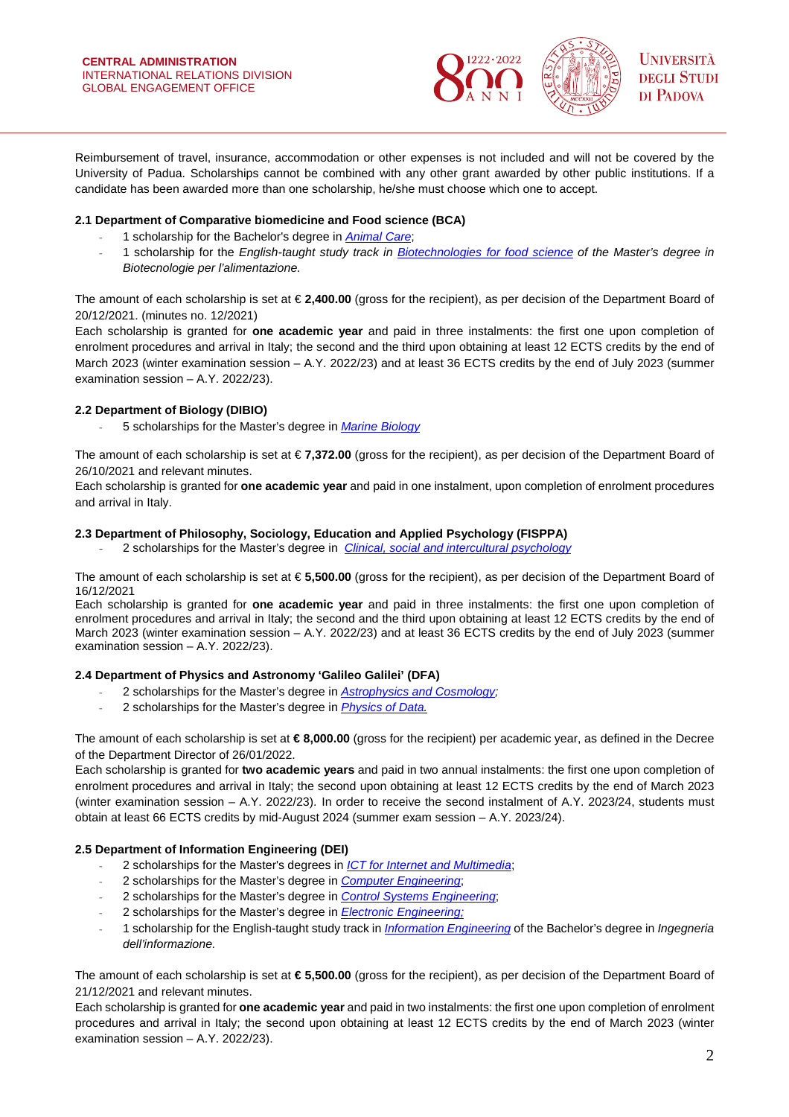

Reimbursement of travel, insurance, accommodation or other expenses is not included and will not be covered by the University of Padua. Scholarships cannot be combined with any other grant awarded by other public institutions. If a candidate has been awarded more than one scholarship, he/she must choose which one to accept.

## **2.1 Department of Comparative biomedicine and Food science (BCA)**

- 1 scholarship for the Bachelor's degree in *[Animal Care](https://www.unipd.it/en/educational-offer/first-cycle-degree/agricultural-sciences-and-veterinary-medicine?tipo=L&scuola=AV&ordinamento=2017&key=AV2378&cg=veterinary-medicine-and-animal-welfare)*;
- 1 scholarship for the *English-taught study track in [Biotechnologies for food science](https://www.unipd.it/en/educational-offer/master-s-degrees/school-of-agricultural-sciences-and-veterinary-medicine?tipo=LM&scuola=AV&ordinamento=2017&key=IF0362) of the Master's degree in Biotecnologie per l'alimentazione.*

The amount of each scholarship is set at € **2,400.00** (gross for the recipient), as per decision of the Department Board of 20/12/2021. (minutes no. 12/2021)

Each scholarship is granted for **one academic year** and paid in three instalments: the first one upon completion of enrolment procedures and arrival in Italy; the second and the third upon obtaining at least 12 ECTS credits by the end of March 2023 (winter examination session – A.Y. 2022/23) and at least 36 ECTS credits by the end of July 2023 (summer examination session – A.Y. 2022/23).

## **2.2 Department of Biology (DIBIO)**

- 5 scholarships for the Master's degree in *[Marine Biology](https://www.unipd.it/en/educational-offer/second-cycle-degree/school-of-science?tipo=LM&scuola=SC&ordinamento=2021&key=SC2596)*

The amount of each scholarship is set at € **7,372.00** (gross for the recipient), as per decision of the Department Board of 26/10/2021 and relevant minutes.

Each scholarship is granted for **one academic year** and paid in one instalment, upon completion of enrolment procedures and arrival in Italy.

## **2.3 Department of Philosophy, Sociology, Education and Applied Psychology (FISPPA)**

- 2 scholarships for the Master's degree in *[Clinical, social and intercultural psychology](https://www.unipd.it/en/educational-offer/second-cycle-degree/psychology?tipo=LM&scuola=PS&ordinamento=2021&key=PS2588&cg=psychology)*

The amount of each scholarship is set at € **5,500.00** (gross for the recipient), as per decision of the Department Board of 16/12/2021

Each scholarship is granted for **one academic year** and paid in three instalments: the first one upon completion of enrolment procedures and arrival in Italy; the second and the third upon obtaining at least 12 ECTS credits by the end of March 2023 (winter examination session – A.Y. 2022/23) and at least 36 ECTS credits by the end of July 2023 (summer examination session – A.Y. 2022/23).

## **2.4 Department of Physics and Astronomy 'Galileo Galilei' (DFA)**

- 2 scholarships for the Master's degree in *[Astrophysics and Cosmology;](https://www.unipd.it/en/educational-offer/master-s-degrees/school-of-science?tipo=LM&scuola=SC&ordinamento=2019&key=SC2490)*
- 2 scholarships for the Master's degree in *[Physics of Data.](https://www.unipd.it/en/educational-offer/master-s-degrees/school-of-science?tipo=LM&scuola=SC&ordinamento=2018&key=SC2443)*

The amount of each scholarship is set at **€ 8,000.00** (gross for the recipient) per academic year, as defined in the Decree of the Department Director of 26/01/2022.

Each scholarship is granted for **two academic years** and paid in two annual instalments: the first one upon completion of enrolment procedures and arrival in Italy; the second upon obtaining at least 12 ECTS credits by the end of March 2023 (winter examination session – A.Y. 2022/23). In order to receive the second instalment of A.Y. 2023/24, students must obtain at least 66 ECTS credits by mid-August 2024 (summer exam session – A.Y. 2023/24).

## **2.5 Department of Information Engineering (DEI)**

- 2 scholarships for the Master's degrees in *[ICT for Internet and Multimedia](https://www.unipd.it/en/educational-offer/second-cycle-degrees/school-of-engineering?tipo=LM&scuola=IN&ordinamento=2019&key=IN2371)*;
- 2 scholarships for the Master's degree in *[Computer Engineering](https://www.unipd.it/en/educational-offer/second-cycle-degrees/school-of-engineering?tipo=LM&scuola=IN&ordinamento=2020&key=IN2547)*;
- 2 scholarships for the Master's degree in *[Control Systems Engineering](https://www.unipd.it/en/educational-offer/master-s-degrees/school-of-engineering?tipo=LM&scuola=IN&ordinamento=2020&key=IN2546)*;
- 2 scholarships for the Master's degree in *[Electronic Engineering;](https://www.unipd.it/en/educational-offer/second-cycle-degree/school-of-engineering?tipo=LM&scuola=IN&ordinamento=2020&key=IN0520)*
- 1 scholarship for the English-taught study track in *[Information Engineering](https://www.unipd.it/en/educational-offer/first-cycle-degree/engineering?tipo=L&scuola=SI&key=8423&cg=engineering)* of the Bachelor's degree in *Ingegneria dell'informazione.*

The amount of each scholarship is set at **€ 5,500.00** (gross for the recipient), as per decision of the Department Board of 21/12/2021 and relevant minutes.

Each scholarship is granted for **one academic year** and paid in two instalments: the first one upon completion of enrolment procedures and arrival in Italy; the second upon obtaining at least 12 ECTS credits by the end of March 2023 (winter examination session – A.Y. 2022/23).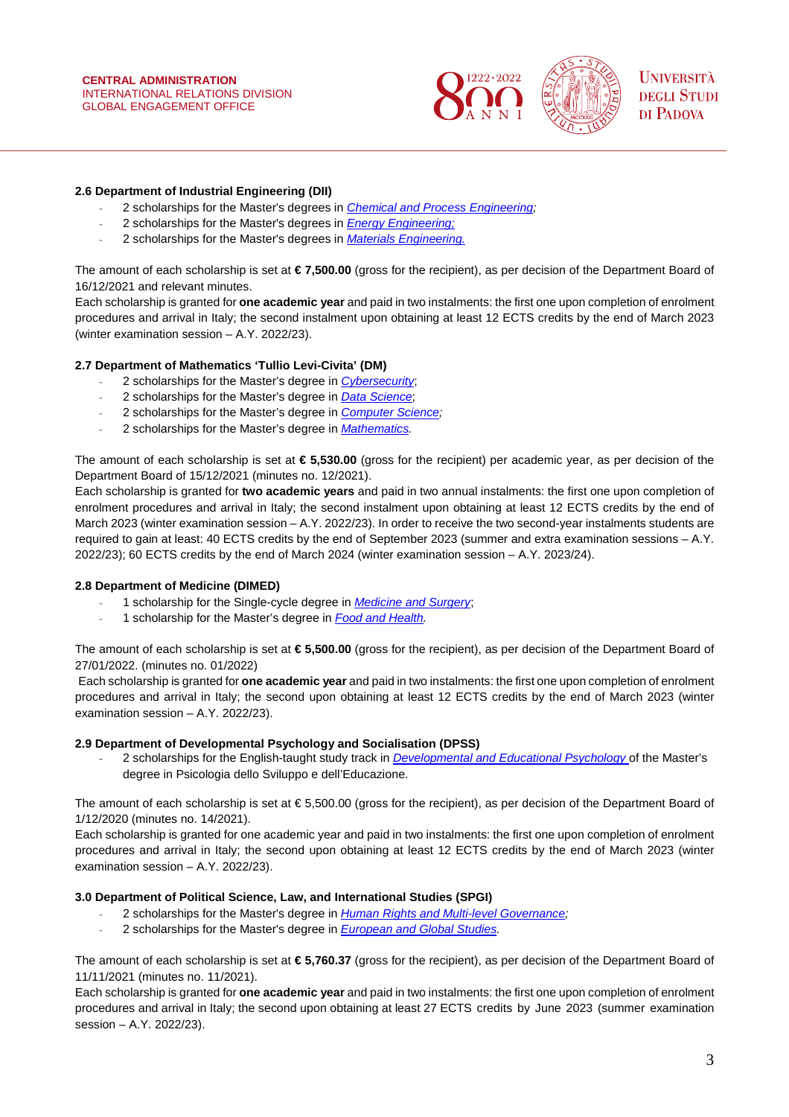

## **2.6 Department of Industrial Engineering (DII)**

- 2 scholarships for the Master's degrees in *[Chemical and Process Engineering;](https://www.unipd.it/en/educational-offer/second-cycle-degree/engineering?ordinamento=2012&key=IN0530&tipo=LM&scuola=IN)*
- 2 scholarships for the Master's degrees in *[Energy Engineering;](https://www.unipd.it/en/educational-offer/second-cycle-degree/school-of-engineering?tipo=LM&scuola=IN&ordinamento=2021&key=IN2595)*
- 2 scholarships for the Master's degrees in *[Materials Engineering.](https://www.unipd.it/en/educational-offer/second-cycle-degree/engineering?ordinamento=2014&key=IN0523&tipo=LM&scuola=IN)*

The amount of each scholarship is set at **€ 7,500.00** (gross for the recipient), as per decision of the Department Board of 16/12/2021 and relevant minutes.

Each scholarship is granted for **one academic year** and paid in two instalments: the first one upon completion of enrolment procedures and arrival in Italy; the second instalment upon obtaining at least 12 ECTS credits by the end of March 2023 (winter examination session – A.Y. 2022/23).

### **2.7 Department of Mathematics 'Tullio Levi-Civita' (DM)**

- 2 scholarships for the Master's degree in *[Cybersecurity](https://www.unipd.it/en/educational-offer/second-cycle-degrees/school-of-science?tipo=LM&scuola=SC&ordinamento=2020&key=SC2542)*;
- 2 scholarships for the Master's degree in *[Data Science](https://www.unipd.it/en/educational-offer/second-cycle-degrees/school-of-science?tipo=LM&scuola=SC&ordinamento=2017&key=SC2377)*;
- 2 scholarships for the Master's degree in *[Computer Science;](https://www.unipd.it/en/educational-offer/first-cycle-degrees/school-of-science?ordinamento=2011&key=SC1167&tipo=L&scuola=SC)*
- 2 scholarships for the Master's degree in *[Mathematics.](https://www.unipd.it/en/educational-offer/second-cycle-degree/school-of-science?tipo=LM&scuola=SC&ordinamento=2011&key=SC1172)*

The amount of each scholarship is set at **€ 5,530.00** (gross for the recipient) per academic year, as per decision of the Department Board of 15/12/2021 (minutes no. 12/2021).

Each scholarship is granted for **two academic years** and paid in two annual instalments: the first one upon completion of enrolment procedures and arrival in Italy; the second instalment upon obtaining at least 12 ECTS credits by the end of March 2023 (winter examination session – A.Y. 2022/23). In order to receive the two second-year instalments students are required to gain at least: 40 ECTS credits by the end of September 2023 (summer and extra examination sessions – A.Y. 2022/23); 60 ECTS credits by the end of March 2024 (winter examination session – A.Y. 2023/24).

#### **2.8 Department of Medicine (DIMED)**

- 1 scholarship for the Single-cycle degree in *[Medicine and Surgery](https://www.unipd.it/en/educational-offer/single-cycle-degrees?tipo=CU&scuola=&ordinamento=2019&key=ME2491)*;
- 1 scholarship for the Master's degree in *[Food and Health.](https://www.unipd.it/en/educational-offer/second-cycle-degree/agricultural-sciences-and-veterinary-medicine?tipo=LM&scuola=AV&ordinamento=2021&key=AV2585&cg=agricultural-forestry-and-food-sciences)*

The amount of each scholarship is set at **€ 5,500.00** (gross for the recipient), as per decision of the Department Board of 27/01/2022. (minutes no. 01/2022)

Each scholarship is granted for **one academic year** and paid in two instalments: the first one upon completion of enrolment procedures and arrival in Italy; the second upon obtaining at least 12 ECTS credits by the end of March 2023 (winter examination session – A.Y. 2022/23).

#### **2.9 Department of Developmental Psychology and Socialisation (DPSS)**

- 2 scholarships for the English-taught study track in *Developmental [and Educational Psychology](https://www.unipd.it/en/educational-offer/second-cycle-degree/psychology?ordinamento=2021&key=PS1090&tipo=LM&scuola=PS)* of the Master's degree in Psicologia dello Sviluppo e dell'Educazione.

The amount of each scholarship is set at € 5,500.00 (gross for the recipient), as per decision of the Department Board of 1/12/2020 (minutes no. 14/2021).

Each scholarship is granted for one academic year and paid in two instalments: the first one upon completion of enrolment procedures and arrival in Italy; the second upon obtaining at least 12 ECTS credits by the end of March 2023 (winter examination session – A.Y. 2022/23).

#### **3.0 Department of Political Science, Law, and International Studies (SPGI)**

- 2 scholarships for the Master's degree in *Human Rights and Multi-level Governance*;
- 2 scholarships for the Master's degree in *[European and Global Studies.](https://www.unipd.it/en/educational-offer/second-cycle-degrees/school-of-economics-and-political-science?tipo=LM&scuola=EP&ordinamento=2018&key=EP2444)*

The amount of each scholarship is set at **€ 5,760.37** (gross for the recipient), as per decision of the Department Board of 11/11/2021 (minutes no. 11/2021).

Each scholarship is granted for **one academic year** and paid in two instalments: the first one upon completion of enrolment procedures and arrival in Italy; the second upon obtaining at least 27 ECTS credits by June 2023 (summer examination session – A.Y. 2022/23).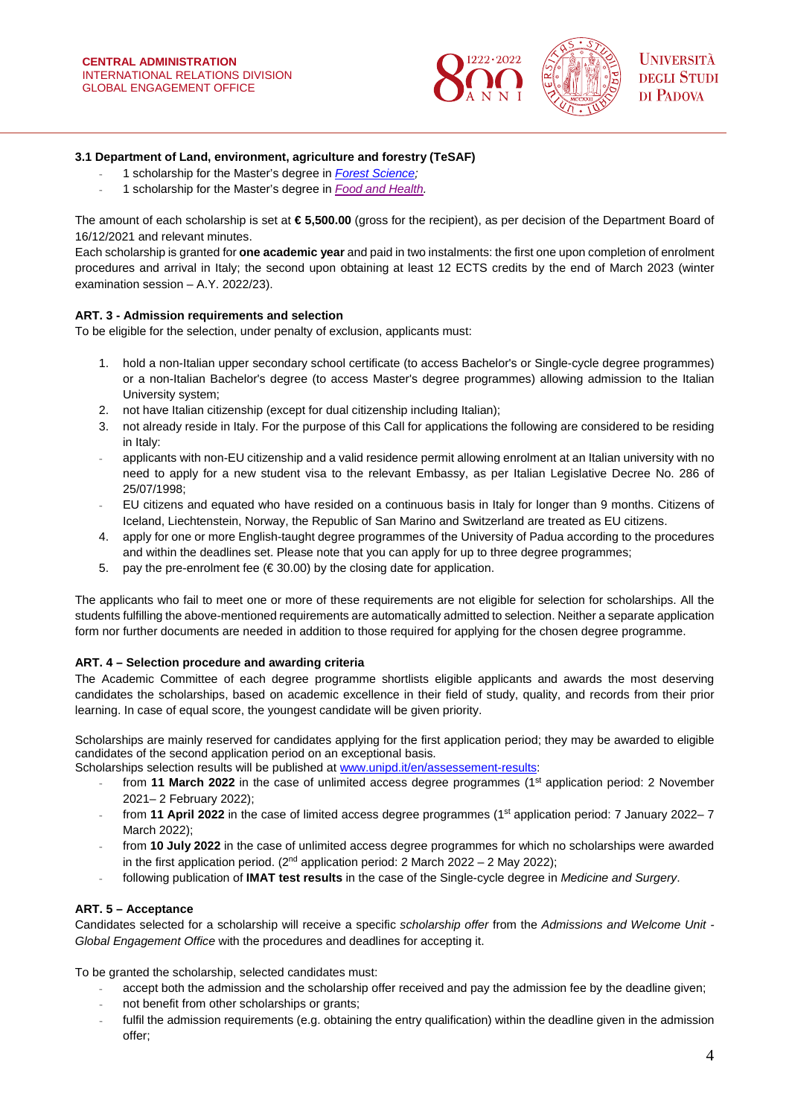

## **3.1 Department of Land, environment, agriculture and forestry (TeSAF)**

- 1 scholarship for the Master's degree in *[Forest Science;](https://www.unipd.it/en/educational-offer/second-cycle-degrees/school-of-agricultural-sciences-and-veterinary-medicine?tipo=LM&scuola=AV&ordinamento=2017&key=AV2091)*
- 1 scholarship for the Master's degree in *[Food and Health.](https://www.unipd.it/en/educational-offer/second-cycle-degree/agricultural-sciences-and-veterinary-medicine?tipo=LM&scuola=AV&ordinamento=2021&key=AV2585&cg=agricultural-forestry-and-food-sciences)*

The amount of each scholarship is set at **€ 5,500.00** (gross for the recipient), as per decision of the Department Board of 16/12/2021 and relevant minutes.

Each scholarship is granted for **one academic year** and paid in two instalments: the first one upon completion of enrolment procedures and arrival in Italy; the second upon obtaining at least 12 ECTS credits by the end of March 2023 (winter examination session – A.Y. 2022/23).

### **ART. 3 - Admission requirements and selection**

To be eligible for the selection, under penalty of exclusion, applicants must:

- 1. hold a non-Italian upper secondary school certificate (to access Bachelor's or Single-cycle degree programmes) or a non-Italian Bachelor's degree (to access Master's degree programmes) allowing admission to the Italian University system;
- 2. not have Italian citizenship (except for dual citizenship including Italian);
- 3. not already reside in Italy. For the purpose of this Call for applications the following are considered to be residing in Italy:
- applicants with non-EU citizenship and a valid residence permit allowing enrolment at an Italian university with no need to apply for a new student visa to the relevant Embassy, as per Italian Legislative Decree No. 286 of 25/07/1998;
- EU citizens and equated who have resided on a continuous basis in Italy for longer than 9 months. Citizens of Iceland, Liechtenstein, Norway, the Republic of San Marino and Switzerland are treated as EU citizens.
- 4. apply for one or more English-taught degree programmes of the University of Padua according to the procedures and within the deadlines set. Please note that you can apply for up to three degree programmes;
- 5. pay the pre-enrolment fee ( $\in$  30.00) by the closing date for application.

The applicants who fail to meet one or more of these requirements are not eligible for selection for scholarships. All the students fulfilling the above-mentioned requirements are automatically admitted to selection. Neither a separate application form nor further documents are needed in addition to those required for applying for the chosen degree programme.

## **ART. 4 – Selection procedure and awarding criteria**

The Academic Committee of each degree programme shortlists eligible applicants and awards the most deserving candidates the scholarships, based on academic excellence in their field of study, quality, and records from their prior learning. In case of equal score, the youngest candidate will be given priority.

Scholarships are mainly reserved for candidates applying for the first application period; they may be awarded to eligible candidates of the second application period on an exceptional basis.

Scholarships selection results will be published at [www.unipd.it/en/assessement-results:](http://www.unipd.it/en/assessement-results)

- from 11 March 2022 in the case of unlimited access degree programmes (1<sup>st</sup> application period: 2 November 2021– 2 February 2022);
- from **11 April 2022** in the case of limited access degree programmes (1st application period: 7 January 2022– 7 March 2022);
- from **10 July 2022** in the case of unlimited access degree programmes for which no scholarships were awarded in the first application period. ( $2<sup>nd</sup>$  application period: 2 March 2022 – 2 May 2022);
- following publication of **IMAT test results** in the case of the Single-cycle degree in *Medicine and Surgery*.

## **ART. 5 – Acceptance**

Candidates selected for a scholarship will receive a specific *scholarship offer* from the *Admissions and Welcome Unit - Global Engagement Office* with the procedures and deadlines for accepting it.

To be granted the scholarship, selected candidates must:

- accept both the admission and the scholarship offer received and pay the admission fee by the deadline given;
- not benefit from other scholarships or grants;
- fulfil the admission requirements (e.g. obtaining the entry qualification) within the deadline given in the admission offer;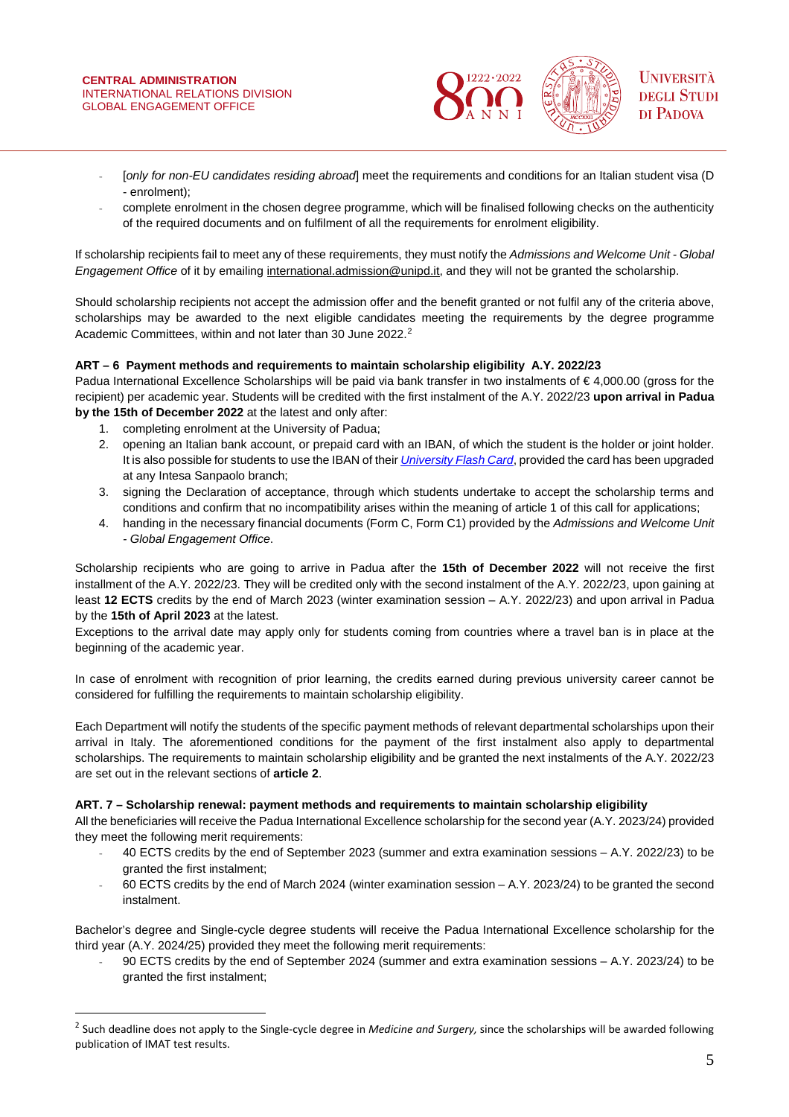

- [*only for non-EU candidates residing abroad*] meet the requirements and conditions for an Italian student visa (D - enrolment);
- complete enrolment in the chosen degree programme, which will be finalised following checks on the authenticity of the required documents and on fulfilment of all the requirements for enrolment eligibility.

If scholarship recipients fail to meet any of these requirements, they must notify the *Admissions and Welcome Unit - Global Engagement Office* of it by emailing [international.admission@unipd.it,](mailto:international.admission@unipd.it) and they will not be granted the scholarship.

Should scholarship recipients not accept the admission offer and the benefit granted or not fulfil any of the criteria above, scholarships may be awarded to the next eligible candidates meeting the requirements by the degree programme Academic Committees, within and not later than 30 June [2](#page-4-0)022.<sup>2</sup>

## **ART – 6 Payment methods and requirements to maintain scholarship eligibility A.Y. 2022/23**

Padua International Excellence Scholarships will be paid via bank transfer in two instalments of € 4,000.00 (gross for the recipient) per academic year. Students will be credited with the first instalment of the A.Y. 2022/23 **upon arrival in Padua by the 15th of December 2022** at the latest and only after:

1. completing enrolment at the University of Padua;

 $\overline{a}$ 

- 2. opening an Italian bank account, or prepaid card with an IBAN, of which the student is the holder or joint holder. It is also possible for students to use the IBAN of their *[University Flash Card](https://www.unipd.it/cartaflash)*, provided the card has been upgraded at any Intesa Sanpaolo branch;
- 3. signing the Declaration of acceptance, through which students undertake to accept the scholarship terms and conditions and confirm that no incompatibility arises within the meaning of article 1 of this call for applications;
- 4. handing in the necessary financial documents (Form C, Form C1) provided by the *Admissions and Welcome Unit - Global Engagement Office*.

Scholarship recipients who are going to arrive in Padua after the **15th of December 2022** will not receive the first installment of the A.Y. 2022/23. They will be credited only with the second instalment of the A.Y. 2022/23, upon gaining at least **12 ECTS** credits by the end of March 2023 (winter examination session – A.Y. 2022/23) and upon arrival in Padua by the **15th of April 2023** at the latest.

Exceptions to the arrival date may apply only for students coming from countries where a travel ban is in place at the beginning of the academic year.

In case of enrolment with recognition of prior learning, the credits earned during previous university career cannot be considered for fulfilling the requirements to maintain scholarship eligibility.

Each Department will notify the students of the specific payment methods of relevant departmental scholarships upon their arrival in Italy. The aforementioned conditions for the payment of the first instalment also apply to departmental scholarships. The requirements to maintain scholarship eligibility and be granted the next instalments of the A.Y. 2022/23 are set out in the relevant sections of **article 2**.

## **ART. 7 – Scholarship renewal: payment methods and requirements to maintain scholarship eligibility**

All the beneficiaries will receive the Padua International Excellence scholarship for the second year (A.Y. 2023/24) provided they meet the following merit requirements:

- 40 ECTS credits by the end of September 2023 (summer and extra examination sessions A.Y. 2022/23) to be granted the first instalment;
- 60 ECTS credits by the end of March 2024 (winter examination session A.Y. 2023/24) to be granted the second instalment.

Bachelor's degree and Single-cycle degree students will receive the Padua International Excellence scholarship for the third year (A.Y. 2024/25) provided they meet the following merit requirements:

- 90 ECTS credits by the end of September 2024 (summer and extra examination sessions – A.Y. 2023/24) to be granted the first instalment;

<span id="page-4-0"></span><sup>2</sup> Such deadline does not apply to the Single-cycle degree in *Medicine and Surgery,* since the scholarships will be awarded following publication of IMAT test results.